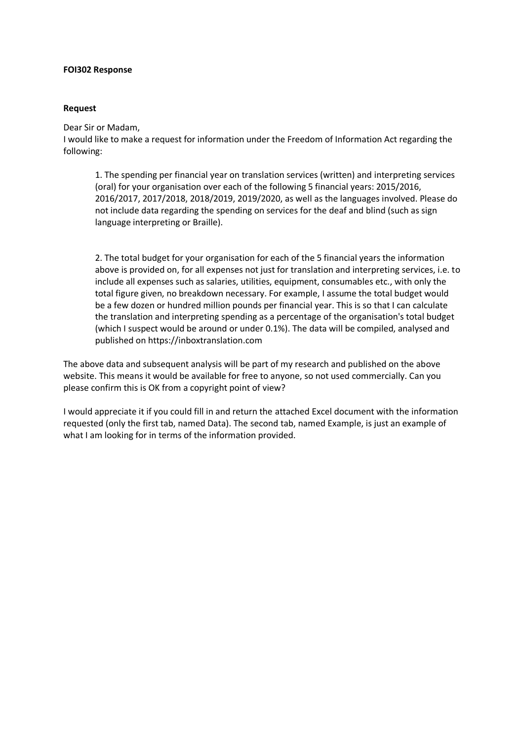## **FOI302 Response**

## **Request**

Dear Sir or Madam,

I would like to make a request for information under the Freedom of Information Act regarding the following:

1. The spending per financial year on translation services (written) and interpreting services (oral) for your organisation over each of the following 5 financial years: 2015/2016, 2016/2017, 2017/2018, 2018/2019, 2019/2020, as well as the languages involved. Please do not include data regarding the spending on services for the deaf and blind (such as sign language interpreting or Braille).

2. The total budget for your organisation for each of the 5 financial years the information above is provided on, for all expenses not just for translation and interpreting services, i.e. to include all expenses such as salaries, utilities, equipment, consumables etc., with only the total figure given, no breakdown necessary. For example, I assume the total budget would be a few dozen or hundred million pounds per financial year. This is so that I can calculate the translation and interpreting spending as a percentage of the organisation's total budget (which I suspect would be around or under 0.1%). The data will be compiled, analysed and published on [https://inboxtranslation.com](https://inboxtranslation.com/)

The above data and subsequent analysis will be part of my research and published on the above website. This means it would be available for free to anyone, so not used commercially. Can you please confirm this is OK from a copyright point of view?

I would appreciate it if you could fill in and return the attached Excel document with the information requested (only the first tab, named Data). The second tab, named Example, is just an example of what I am looking for in terms of the information provided.